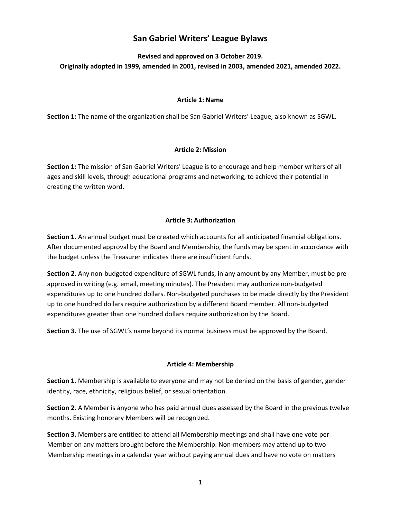# **San Gabriel Writers' League Bylaws**

**Revised and approved on 3 October 2019. Originally adopted in 1999, amended in 2001, revised in 2003, amended 2021, amended 2022.**

#### **Article 1: Name**

**Section 1:** The name of the organization shall be San Gabriel Writers' League, also known as SGWL.

# **Article 2: Mission**

**Section 1:** The mission of San Gabriel Writers' League is to encourage and help member writers of all ages and skill levels, through educational programs and networking, to achieve their potential in creating the written word.

# **Article 3: Authorization**

**Section 1.** An annual budget must be created which accounts for all anticipated financial obligations. After documented approval by the Board and Membership, the funds may be spent in accordance with the budget unless the Treasurer indicates there are insufficient funds.

**Section 2.** Any non-budgeted expenditure of SGWL funds, in any amount by any Member, must be preapproved in writing (e.g. email, meeting minutes). The President may authorize non-budgeted expenditures up to one hundred dollars. Non-budgeted purchases to be made directly by the President up to one hundred dollars require authorization by a different Board member. All non-budgeted expenditures greater than one hundred dollars require authorization by the Board.

**Section 3.** The use of SGWL's name beyond its normal business must be approved by the Board.

# **Article 4: Membership**

**Section 1.** Membership is available to everyone and may not be denied on the basis of gender, gender identity, race, ethnicity, religious belief, or sexual orientation.

**Section 2.** A Member is anyone who has paid annual dues assessed by the Board in the previous twelve months. Existing honorary Members will be recognized.

**Section 3.** Members are entitled to attend all Membership meetings and shall have one vote per Member on any matters brought before the Membership. Non-members may attend up to two Membership meetings in a calendar year without paying annual dues and have no vote on matters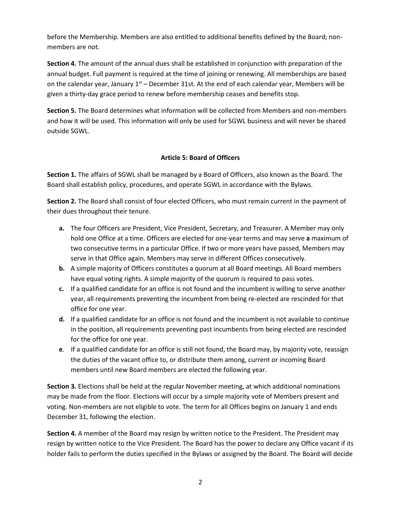before the Membership. Members are also entitled to additional benefits defined by the Board; nonmembers are not.

**Section 4.** The amount of the annual dues shall be established in conjunction with preparation of the annual budget. Full payment is required at the time of joining or renewing. All memberships are based on the calendar year, January  $1<sup>st</sup>$  – December 31st. At the end of each calendar year, Members will be given a thirty-day grace period to renew before membership ceases and benefits stop.

**Section 5.** The Board determines what information will be collected from Members and non-members and how it will be used. This information will only be used for SGWL business and will never be shared outside SGWL.

# **Article 5: Board of Officers**

**Section 1.** The affairs of SGWL shall be managed by a Board of Officers, also known as the Board. The Board shall establish policy, procedures, and operate SGWL in accordance with the Bylaws.

**Section 2.** The Board shall consist of four elected Officers, who must remain current in the payment of their dues throughout their tenure.

- **a.** The four Officers are President, Vice President, Secretary, and Treasurer. A Member may only hold one Office at a time. Officers are elected for one-year terms and may serve **a** maximum of two consecutive terms in a particular Office. If two or more years have passed, Members may serve in that Office again. Members may serve in different Offices consecutively.
- **b.** A simple majority of Officers constitutes a quorum at all Board meetings. All Board members have equal voting rights. A simple majority of the quorum is required to pass votes.
- **c.** If a qualified candidate for an office is not found and the incumbent is willing to serve another year, all requirements preventing the incumbent from being re-elected are rescinded for that office for one year.
- **d.** If a qualified candidate for an office is not found and the incumbent is not available to continue in the position, all requirements preventing past incumbents from being elected are rescinded for the office for one year.
- **e**. If a qualified candidate for an office is still not found, the Board may, by majority vote, reassign the duties of the vacant office to, or distribute them among, current or incoming Board members until new Board members are elected the following year.

**Section 3.** Elections shall be held at the regular November meeting, at which additional nominations may be made from the floor. Elections will occur by a simple majority vote of Members present and voting. Non-members are not eligible to vote. The term for all Offices begins on January 1 and ends December 31, following the election.

**Section 4.** A member of the Board may resign by written notice to the President. The President may resign by written notice to the Vice President. The Board has the power to declare any Office vacant if its holder fails to perform the duties specified in the Bylaws or assigned by the Board. The Board will decide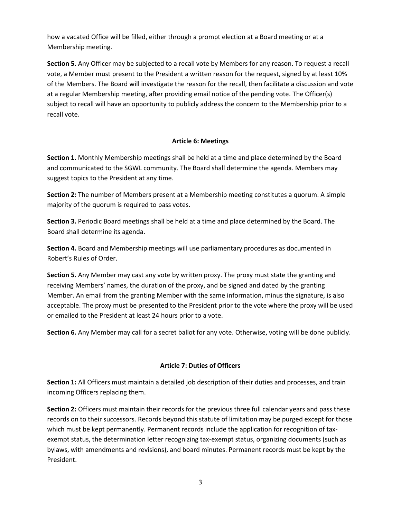how a vacated Office will be filled, either through a prompt election at a Board meeting or at a Membership meeting.

**Section 5.** Any Officer may be subjected to a recall vote by Members for any reason. To request a recall vote, a Member must present to the President a written reason for the request, signed by at least 10% of the Members. The Board will investigate the reason for the recall, then facilitate a discussion and vote at a regular Membership meeting, after providing email notice of the pending vote. The Officer(s) subject to recall will have an opportunity to publicly address the concern to the Membership prior to a recall vote.

# **Article 6: Meetings**

**Section 1.** Monthly Membership meetings shall be held at a time and place determined by the Board and communicated to the SGWL community. The Board shall determine the agenda. Members may suggest topics to the President at any time.

**Section 2:** The number of Members present at a Membership meeting constitutes a quorum. A simple majority of the quorum is required to pass votes.

**Section 3.** Periodic Board meetings shall be held at a time and place determined by the Board. The Board shall determine its agenda.

**Section 4.** Board and Membership meetings will use parliamentary procedures as documented in Robert's Rules of Order.

**Section 5.** Any Member may cast any vote by written proxy. The proxy must state the granting and receiving Members' names, the duration of the proxy, and be signed and dated by the granting Member. An email from the granting Member with the same information, minus the signature, is also acceptable. The proxy must be presented to the President prior to the vote where the proxy will be used or emailed to the President at least 24 hours prior to a vote.

**Section 6.** Any Member may call for a secret ballot for any vote. Otherwise, voting will be done publicly.

# **Article 7: Duties of Officers**

**Section 1:** All Officers must maintain a detailed job description of their duties and processes, and train incoming Officers replacing them.

**Section 2:** Officers must maintain their records for the previous three full calendar years and pass these records on to their successors. Records beyond this statute of limitation may be purged except for those which must be kept permanently. Permanent records include the application for recognition of taxexempt status, the determination letter recognizing tax-exempt status, organizing documents (such as bylaws, with amendments and revisions), and board minutes. Permanent records must be kept by the President.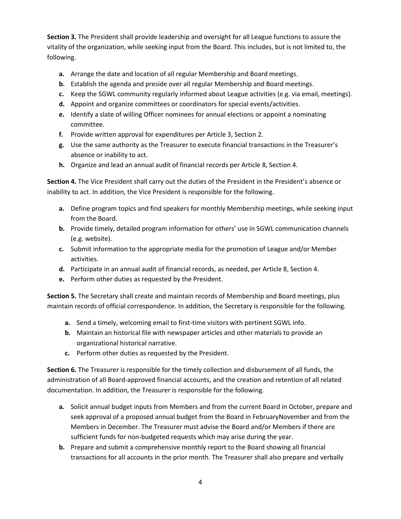**Section 3.** The President shall provide leadership and oversight for all League functions to assure the vitality of the organization, while seeking input from the Board. This includes, but is not limited to, the following.

- **a.** Arrange the date and location of all regular Membership and Board meetings.
- **b.** Establish the agenda and preside over all regular Membership and Board meetings.
- **c.** Keep the SGWL community regularly informed about League activities (e.g. via email, meetings).
- **d.** Appoint and organize committees or coordinators for special events/activities.
- **e.** Identify a slate of willing Officer nominees for annual elections or appoint a nominating committee.
- **f.** Provide written approval for expenditures per Article 3, Section 2.
- **g.** Use the same authority as the Treasurer to execute financial transactions in the Treasurer's absence or inability to act.
- **h.** Organize and lead an annual audit of financial records per Article 8, Section 4.

**Section 4.** The Vice President shall carry out the duties of the President in the President's absence or inability to act. In addition, the Vice President is responsible for the following.

- **a.** Define program topics and find speakers for monthly Membership meetings, while seeking input from the Board.
- **b.** Provide timely, detailed program information for others' use in SGWL communication channels (e.g. website).
- **c.** Submit information to the appropriate media for the promotion of League and/or Member activities.
- **d.** Participate in an annual audit of financial records, as needed, per Article 8, Section 4.
- **e.** Perform other duties as requested by the President.

**Section 5.** The Secretary shall create and maintain records of Membership and Board meetings, plus maintain records of official correspondence. In addition, the Secretary is responsible for the following.

- **a.** Send a timely, welcoming email to first-time visitors with pertinent SGWL info.
- **b.** Maintain an historical file with newspaper articles and other materials to provide an organizational historical narrative.
- **c.** Perform other duties as requested by the President.

**Section 6.** The Treasurer is responsible for the timely collection and disbursement of all funds, the administration of all Board-approved financial accounts, and the creation and retention of all related documentation. In addition, the Treasurer is responsible for the following.

- **a.** Solicit annual budget inputs from Members and from the current Board in October, prepare and seek approval of a proposed annual budget from the Board in FebruaryNovember and from the Members in December. The Treasurer must advise the Board and/or Members if there are sufficient funds for non-budgeted requests which may arise during the year.
- **b.** Prepare and submit a comprehensive monthly report to the Board showing all financial transactions for all accounts in the prior month. The Treasurer shall also prepare and verbally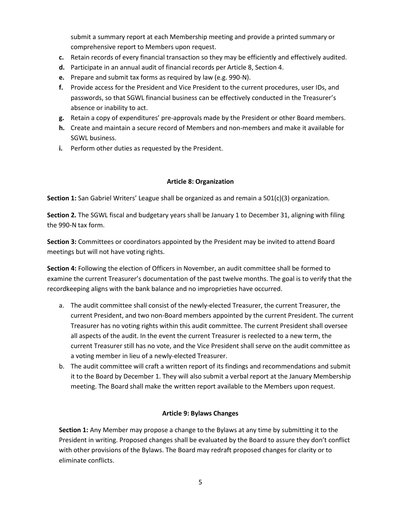submit a summary report at each Membership meeting and provide a printed summary or comprehensive report to Members upon request.

- **c.** Retain records of every financial transaction so they may be efficiently and effectively audited.
- **d.** Participate in an annual audit of financial records per Article 8, Section 4.
- **e.** Prepare and submit tax forms as required by law (e.g. 990-N).
- **f.** Provide access for the President and Vice President to the current procedures, user IDs, and passwords, so that SGWL financial business can be effectively conducted in the Treasurer's absence or inability to act.
- **g.** Retain a copy of expenditures' pre-approvals made by the President or other Board members.
- **h.** Create and maintain a secure record of Members and non-members and make it available for SGWL business.
- **i.** Perform other duties as requested by the President.

#### **Article 8: Organization**

**Section 1:** San Gabriel Writers' League shall be organized as and remain a 501(c)(3) organization.

**Section 2.** The SGWL fiscal and budgetary years shall be January 1 to December 31, aligning with filing the 990-N tax form.

**Section 3:** Committees or coordinators appointed by the President may be invited to attend Board meetings but will not have voting rights.

**Section 4:** Following the election of Officers in November, an audit committee shall be formed to examine the current Treasurer's documentation of the past twelve months. The goal is to verify that the recordkeeping aligns with the bank balance and no improprieties have occurred.

- a. The audit committee shall consist of the newly-elected Treasurer, the current Treasurer, the current President, and two non-Board members appointed by the current President. The current Treasurer has no voting rights within this audit committee. The current President shall oversee all aspects of the audit. In the event the current Treasurer is reelected to a new term, the current Treasurer still has no vote, and the Vice President shall serve on the audit committee as a voting member in lieu of a newly-elected Treasurer.
- b. The audit committee will craft a written report of its findings and recommendations and submit it to the Board by December 1. They will also submit a verbal report at the January Membership meeting. The Board shall make the written report available to the Members upon request.

# **Article 9: Bylaws Changes**

**Section 1:** Any Member may propose a change to the Bylaws at any time by submitting it to the President in writing. Proposed changes shall be evaluated by the Board to assure they don't conflict with other provisions of the Bylaws. The Board may redraft proposed changes for clarity or to eliminate conflicts.